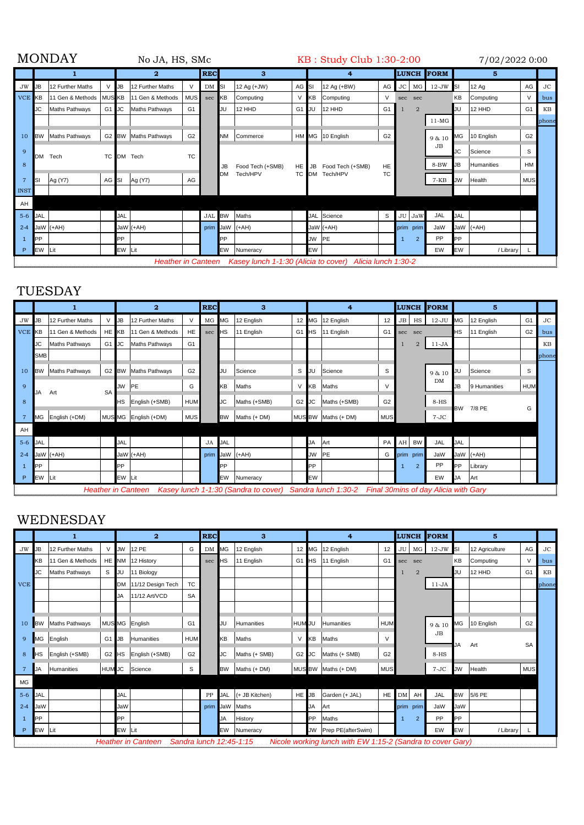| <b>MONDAY</b><br>No JA, HS, SMc |             |                       |               |              |                           |                |           | KB: Study Club 1:30-2:00 |                                                          |        |                  |                  |                |                |                |                   |            |              | 7/02/2022 0:00 |           |  |
|---------------------------------|-------------|-----------------------|---------------|--------------|---------------------------|----------------|-----------|--------------------------|----------------------------------------------------------|--------|------------------|------------------|----------------|----------------|----------------|-------------------|------------|--------------|----------------|-----------|--|
|                                 |             |                       |               |              | 2                         |                |           | <b>REC</b><br>3          |                                                          |        | 4                |                  |                |                |                | <b>LUNCH FORM</b> | 5          |              |                |           |  |
| <b>JW</b>                       | <b>I</b> JB | 12 Further Maths      | V             | $\mathbf{L}$ | 12 Further Maths          | $\vee$         | DM SI     |                          | 12 Ag (+JW)                                              | AG SI  |                  | 12 Ag (+BW)      | AG             |                | JC MG          | $12$ -JW SI       |            | <b>12 Ag</b> | AG             | <b>JC</b> |  |
| <b>VCE KB</b>                   |             | 11 Gen & Methods      | <b>MUS KB</b> |              | 11 Gen & Methods          | <b>MUS</b>     | sec       | KВ                       | Computing                                                | $\vee$ | KB               | Computing        | $\vee$         | sec            | sec            |                   | KB         | Computing    | $\vee$         | bus       |  |
|                                 | <b>JC</b>   | Maths Pathways        | G1 JC         |              | Maths Pathways            | G <sub>1</sub> |           | JU                       | 12 HHD                                                   | G1 JU  |                  | 12 HHD           | G <sub>1</sub> |                | $\overline{2}$ |                   | JU         | 12 HHD       | G <sub>1</sub> | KB        |  |
|                                 |             |                       |               |              |                           |                |           |                          |                                                          |        |                  |                  |                |                |                | $11-MG$           |            |              |                | phone     |  |
| 10                              | <b>BW</b>   | <b>Maths Pathways</b> |               |              | G2 BW Maths Pathways      | G <sub>2</sub> |           | <b>NM</b>                | Commerce                                                 |        |                  | HM MG 10 English | G <sub>2</sub> |                |                | 9 & 10            | MG         | 10 English   | G <sub>2</sub> |           |  |
| q                               | <b>DM</b>   | Tech                  |               |              | TC DM Tech                | <b>TC</b>      |           |                          |                                                          |        |                  |                  |                |                |                | JB                | <b>JC</b>  | Science      | S              |           |  |
| 8                               |             |                       |               |              |                           |                | <b>JB</b> | Food Tech (+SMB)         | HE <sub>1</sub>                                          | JB     | Food Tech (+SMB) | HE               |                |                | 8-BW           | <b>JB</b>         | Humanities | <b>HM</b>    |                |           |  |
| 7                               | SI          | Ag (Y7)               | AG SI         |              | Ag (Y7)                   | AG             |           | <b>DM</b>                | Tech/HPV                                                 | TC DM  |                  | Tech/HPV         | <b>TC</b>      |                |                | $7 - KB$          | <b>JW</b>  | Health       | <b>MUS</b>     |           |  |
| <b>INST</b>                     |             |                       |               |              |                           |                |           |                          |                                                          |        |                  |                  |                |                |                |                   |            |              |                |           |  |
| AH                              |             |                       |               |              |                           |                |           |                          |                                                          |        |                  |                  |                |                |                |                   |            |              |                |           |  |
| $5-6$ JAL                       |             |                       |               | <b>JAL</b>   |                           |                | JAL BW    |                          | Maths                                                    |        |                  | JAL Science      | S              |                | JU JaW         | JAL               | <b>JAL</b> |              |                |           |  |
| $2 - 4$                         |             | JaW (+AH)             |               |              | JaW (+AH)                 |                |           |                          | prim JaW (+AH)                                           |        |                  | JaW (+AH)        |                |                | prim prim      | JaW               |            | JaW (+AH)    |                |           |  |
|                                 | <b>PP</b>   |                       |               | PP           |                           |                |           | PP                       |                                                          |        | <b>JW</b>        | <b>PE</b>        |                | $\overline{1}$ | $\overline{2}$ | PP                | <b>PP</b>  |              |                |           |  |
| P                               | EW Lit      |                       |               | EW Lit       |                           |                |           | EW                       | Numeracy                                                 |        | EW               |                  |                |                |                | EW                | EW         | / Library    |                |           |  |
|                                 |             |                       |               |              | <b>Heather in Canteen</b> |                |           |                          | Kasey lunch 1-1:30 (Alicia to cover) Alicia lunch 1:30-2 |        |                  |                  |                |                |                |                   |            |              |                |           |  |

TUESDAY

|              |                        |                  |       | $\overline{2}$ |                           |                | <b>REC</b> | 3         |                                                          | 4               |           |                       | <b>LUNCH</b>   |     | <b>FORM</b>    | 5                                    |            |              |                |           |
|--------------|------------------------|------------------|-------|----------------|---------------------------|----------------|------------|-----------|----------------------------------------------------------|-----------------|-----------|-----------------------|----------------|-----|----------------|--------------------------------------|------------|--------------|----------------|-----------|
| <b>JW</b>    | JB                     | 12 Further Maths |       | <b>JB</b>      | 12 Further Maths          | V              | MG MG      |           | 12 English                                               | 12 <sub>1</sub> | MG        | 12 English            | 12             | JB  | HS             | $12-JU$                              | <b>MG</b>  | 12 English   | G <sub>1</sub> | <b>JC</b> |
| <b>VCE</b>   | <b>KB</b>              | 11 Gen & Methods | HE KB |                | 11 Gen & Methods          | HE             | sec        | НS        | 11 English                                               | G1              | <b>HS</b> | 11 English            | G <sub>1</sub> | sec | sec            |                                      | <b>HS</b>  | 11 English   | G <sub>2</sub> | bus       |
|              | JC                     | Maths Pathways   | G1 JC |                | Maths Pathways            | G <sub>1</sub> |            |           |                                                          |                 |           |                       |                |     | $\overline{2}$ | $11-JA$                              |            |              |                | KВ        |
|              | <b>SMB</b>             |                  |       |                |                           |                |            |           |                                                          |                 |           |                       |                |     |                |                                      |            |              |                | phone     |
| 10           | <b>BW</b>              | Maths Pathways   |       |                | G2 BW Maths Pathways      | G <sub>2</sub> |            | IJU       | Science                                                  | S               | JU        | Science               | S              |     |                | 9 & 10                               | JU         | Science      | S              |           |
| $\mathbf{Q}$ | <b>SA</b><br>JA<br>Art |                  |       | JW             | <b>IPE</b>                | G              |            | KΒ        | Maths                                                    | $\vee$          | KΒ        | Maths                 | V              |     |                | DM                                   | <b>JB</b>  | 9 Humanities | <b>HUM</b>     |           |
| 8            |                        |                  |       | HS             | English (+SMB)            | <b>HUM</b>     |            | <b>JC</b> | Maths (+SMB)                                             | G2              | JC        | Maths (+SMB)          | G <sub>2</sub> |     | $8-HS$         |                                      | <b>BW</b>  | 7/8 PE<br>G  |                |           |
|              | <b>MG</b>              | English (+DM)    |       |                | MUS MG English (+DM)      | <b>MUS</b>     |            | <b>BW</b> | Maths (+ DM)                                             |                 |           | MUS BW   Maths (+ DM) | <b>MUS</b>     |     |                | $7-JC$                               |            |              |                |           |
| AH           |                        |                  |       |                |                           |                |            |           |                                                          |                 |           |                       |                |     |                |                                      |            |              |                |           |
| $5-6$        | <b>JAL</b>             |                  |       | JAL            |                           |                | JA JAL     |           |                                                          |                 | <b>JA</b> | Art                   | PA             |     | AH BW          | JAL                                  | <b>JAL</b> |              |                |           |
| $2 - 4$      |                        | JaW (+AH)        |       |                | JaW (+AH)                 |                |            |           | prim JaW (+AH)                                           |                 | <b>JW</b> | PE                    | G              |     | prim prim      | JaW                                  |            | JaW (+AH)    |                |           |
|              | PP                     |                  |       | <b>PP</b>      |                           |                |            | ÞР        |                                                          |                 | <b>PP</b> |                       |                |     | $\overline{2}$ | PP                                   | <b>PP</b>  | Library      |                |           |
| P            | EW                     | Lit              |       | EW Lit         |                           |                |            | EW        | Numeracy                                                 |                 | EW        |                       |                |     |                | EW                                   | <b>JA</b>  | Art          |                |           |
|              |                        |                  |       |                | <b>Heather in Canteen</b> |                |            |           | Kasey lunch 1-1:30 (Sandra to cover) Sandra lunch 1:30-2 |                 |           |                       |                |     |                | Final 30mins of day Alicia with Gary |            |              |                |           |

## WEDNESDAY

|            | 1          |                   |                | $\overline{2}$ |                           |                | <b>REC</b> | 3         |                         | 4              |           |                                                            | <b>LUNCH</b>   |          | <b>FORM</b>    | 5           |           |                |                |       |
|------------|------------|-------------------|----------------|----------------|---------------------------|----------------|------------|-----------|-------------------------|----------------|-----------|------------------------------------------------------------|----------------|----------|----------------|-------------|-----------|----------------|----------------|-------|
| <b>JW</b>  | JВ         | 12 Further Maths  | V              | <b>WL</b>      | 12 PE                     | G              | DM MG      |           | 12 English              | 12             | МG        | 12 English                                                 | 12             |          |                | JU MG 12-JW | <b>SI</b> | 12 Agriculture | AG             | JC    |
|            | KΒ         | 11 Gen & Methods  |                |                | HE NM 12 History          |                | sec        | НS        | 11 English              | G <sub>1</sub> | НS        | 11 English                                                 | G <sub>1</sub> | sec      | sec            |             | KB        | Computing      | $\vee$         | bus   |
|            | JC         | Maths Pathways    | S              | IJU            | 11 Biology                |                |            |           |                         |                |           |                                                            |                |          | $\overline{2}$ |             | JU        | 12 HHD         | G <sub>1</sub> | KB    |
| <b>VCE</b> |            |                   |                |                | DM 11/12 Design Tech      | <b>TC</b>      |            |           |                         |                |           |                                                            |                |          |                | $11-JA$     |           |                |                | phone |
|            |            |                   |                | JA.            | 11/12 Art/VCD             | <b>SA</b>      |            |           |                         |                |           |                                                            |                |          |                |             |           |                |                |       |
|            |            |                   |                |                |                           |                |            |           |                         |                |           |                                                            |                |          |                |             |           |                |                |       |
| 10         | <b>BW</b>  | Maths Pathways    |                |                | MUS MG English            | G <sub>1</sub> |            | JU        | <b>Humanities</b>       | HUM JU         |           | Humanities                                                 | <b>HUM</b>     |          |                | 9 & 10      | <b>MG</b> | 10 English     | G <sub>2</sub> |       |
| 9          | МG         | English           | G <sub>1</sub> | $I_{\rm{JB}}$  | Humanities                | <b>HUM</b>     |            | KΒ        | Maths                   | $\vee$         | <b>KB</b> | Maths                                                      | V              |          |                | JB          |           |                |                |       |
| 8          | HS         | English (+SMB)    |                |                | G2 HS English (+SMB)      | G <sub>2</sub> |            | <b>JC</b> | Maths (+ SMB)           | G2             | JC        | Maths (+ SMB)                                              | G <sub>2</sub> |          |                | $8-HS$      | JA        | Art            | <b>SA</b>      |       |
| -7         | JA         | <b>Humanities</b> | <b>HUM JC</b>  |                | Science                   | S              |            | <b>BW</b> | Maths (+ DM)            |                |           | MUS BW   Maths (+ DM)                                      | <b>MUS</b>     |          |                | $7-JC$      | JW        | Health         | <b>MUS</b>     |       |
| <b>MG</b>  |            |                   |                |                |                           |                |            |           |                         |                |           |                                                            |                |          |                |             |           |                |                |       |
| $5-6$      | <b>JAL</b> |                   |                | <b>JAL</b>     |                           |                |            |           | PP JAL (+ JB Kitchen)   | HE JB          |           | Garden (+ JAL)                                             |                | HE DM AH |                | JAL         | <b>BW</b> | 5/6 PE         |                |       |
| $2 - 4$    | JaW        |                   |                | JaW            |                           |                | prim JaW   |           | Maths                   |                | <b>JA</b> | Art                                                        |                |          | prim prim      | JaW         | JaW       |                |                |       |
|            | <b>PP</b>  |                   |                | PP.            |                           |                |            | JA        | History                 |                | <b>PP</b> | Maths                                                      |                |          | 2              | PP          | <b>PP</b> |                |                |       |
| P          | EW         | Lit               |                | EW Lit         |                           |                |            | EW        | Numeracy                |                | <b>JW</b> | Prep PE(afterSwim)                                         |                |          |                | EW          | EW        | / Library      |                |       |
|            |            |                   |                |                | <b>Heather in Canteen</b> |                |            |           | Sandra lunch 12:45-1:15 |                |           | Nicole working lunch with EW 1:15-2 (Sandra to cover Gary) |                |          |                |             |           |                |                |       |